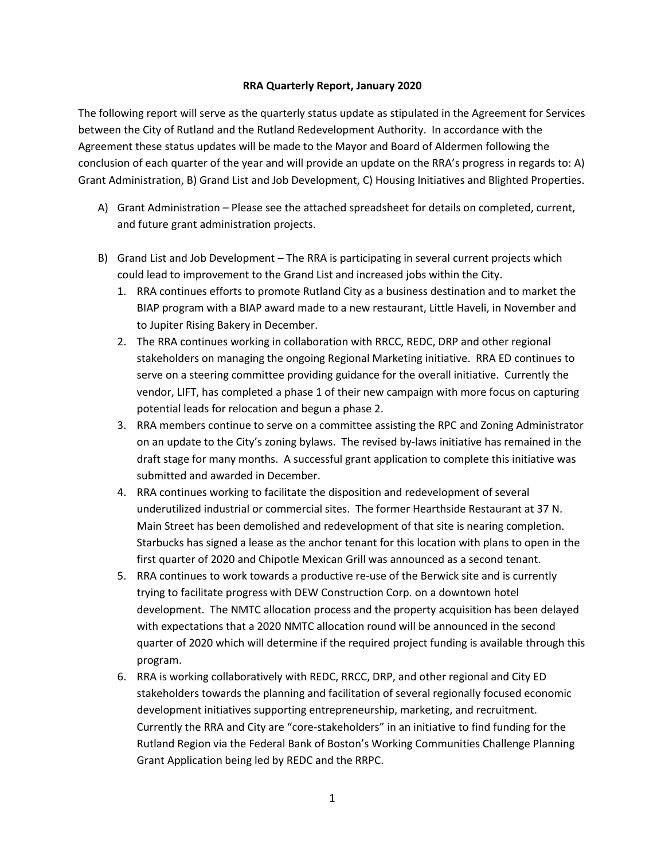## **RRA Quarterly Report, January 2020**

The following report will serve as the quarterly status update as stipulated in the Agreement for Services between the City of Rutland and the Rutland Redevelopment Authority. In accordance with the Agreement these status updates will be made to the Mayor and Board of Aldermen following the conclusion of each quarter of the year and will provide an update on the RRA's progress in regards to: A) Grant Administration, B) Grand List and Job Development, C) Housing Initiatives and Blighted Properties.

- A) Grant Administration Please see the attached spreadsheet for details on completed, current, and future grant administration projects.
- B) Grand List and Job Development The RRA is participating in several current projects which could lead to improvement to the Grand List and increased jobs within the City.
	- 1. RRA continues efforts to promote Rutland City as a business destination and to market the BIAP program with a BIAP award made to a new restaurant, Little Haveli, in November and to Jupiter Rising Bakery in December.
	- 2. The RRA continues working in collaboration with RRCC, REDC, DRP and other regional stakeholders on managing the ongoing Regional Marketing initiative. RRA ED continues to serve on a steering committee providing guidance for the overall initiative. Currently the vendor, LIFT, has completed a phase 1 of their new campaign with more focus on capturing potential leads for relocation and begun a phase 2.
	- 3. RRA members continue to serve on a committee assisting the RPC and Zoning Administrator on an update to the City's zoning bylaws. The revised by-laws initiative has remained in the draft stage for many months. A successful grant application to complete this initiative was submitted and awarded in December.
	- 4. RRA continues working to facilitate the disposition and redevelopment of several underutilized industrial or commercial sites. The former Hearthside Restaurant at 37 N. Main Street has been demolished and redevelopment of that site is nearing completion. Starbucks has signed a lease as the anchor tenant for this location with plans to open in the first quarter of 2020 and Chipotle Mexican Grill was announced as a second tenant.
	- 5. RRA continues to work towards a productive re-use of the Berwick site and is currently trying to facilitate progress with DEW Construction Corp. on a downtown hotel development. The NMTC allocation process and the property acquisition has been delayed with expectations that a 2020 NMTC allocation round will be announced in the second quarter of 2020 which will determine if the required project funding is available through this program.
	- 6. RRA is working collaboratively with REDC, RRCC, DRP, and other regional and City ED stakeholders towards the planning and facilitation of several regionally focused economic development initiatives supporting entrepreneurship, marketing, and recruitment. Currently the RRA and City are "core-stakeholders" in an initiative to find funding for the Rutland Region via the Federal Bank of Boston's Working Communities Challenge Planning Grant Application being led by REDC and the RRPC.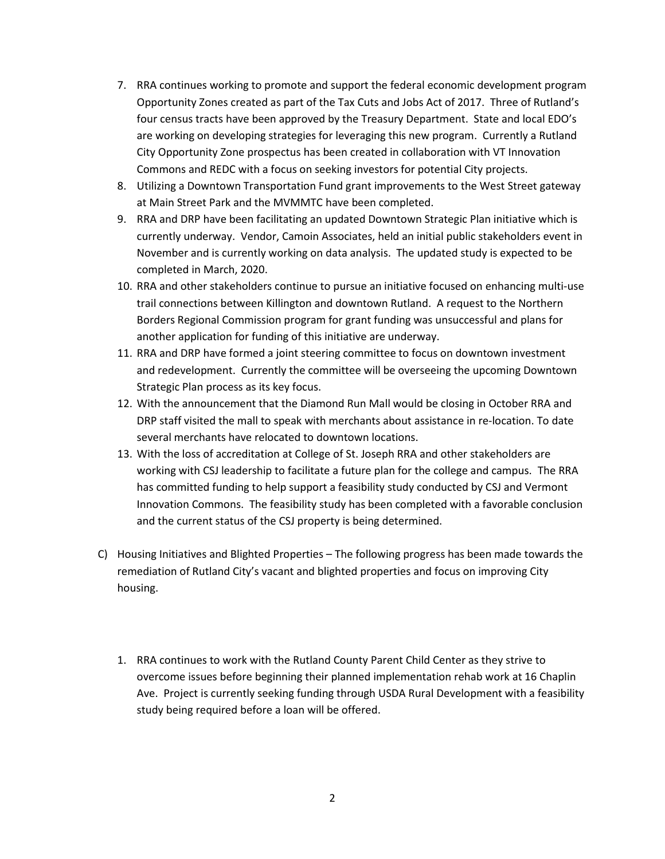- 7. RRA continues working to promote and support the federal economic development program Opportunity Zones created as part of the Tax Cuts and Jobs Act of 2017. Three of Rutland's four census tracts have been approved by the Treasury Department. State and local EDO's are working on developing strategies for leveraging this new program. Currently a Rutland City Opportunity Zone prospectus has been created in collaboration with VT Innovation Commons and REDC with a focus on seeking investors for potential City projects.
- 8. Utilizing a Downtown Transportation Fund grant improvements to the West Street gateway at Main Street Park and the MVMMTC have been completed.
- 9. RRA and DRP have been facilitating an updated Downtown Strategic Plan initiative which is currently underway. Vendor, Camoin Associates, held an initial public stakeholders event in November and is currently working on data analysis. The updated study is expected to be completed in March, 2020.
- 10. RRA and other stakeholders continue to pursue an initiative focused on enhancing multi-use trail connections between Killington and downtown Rutland. A request to the Northern Borders Regional Commission program for grant funding was unsuccessful and plans for another application for funding of this initiative are underway.
- 11. RRA and DRP have formed a joint steering committee to focus on downtown investment and redevelopment. Currently the committee will be overseeing the upcoming Downtown Strategic Plan process as its key focus.
- 12. With the announcement that the Diamond Run Mall would be closing in October RRA and DRP staff visited the mall to speak with merchants about assistance in re-location. To date several merchants have relocated to downtown locations.
- 13. With the loss of accreditation at College of St. Joseph RRA and other stakeholders are working with CSJ leadership to facilitate a future plan for the college and campus. The RRA has committed funding to help support a feasibility study conducted by CSJ and Vermont Innovation Commons. The feasibility study has been completed with a favorable conclusion and the current status of the CSJ property is being determined.
- C) Housing Initiatives and Blighted Properties The following progress has been made towards the remediation of Rutland City's vacant and blighted properties and focus on improving City housing.
	- 1. RRA continues to work with the Rutland County Parent Child Center as they strive to overcome issues before beginning their planned implementation rehab work at 16 Chaplin Ave. Project is currently seeking funding through USDA Rural Development with a feasibility study being required before a loan will be offered.